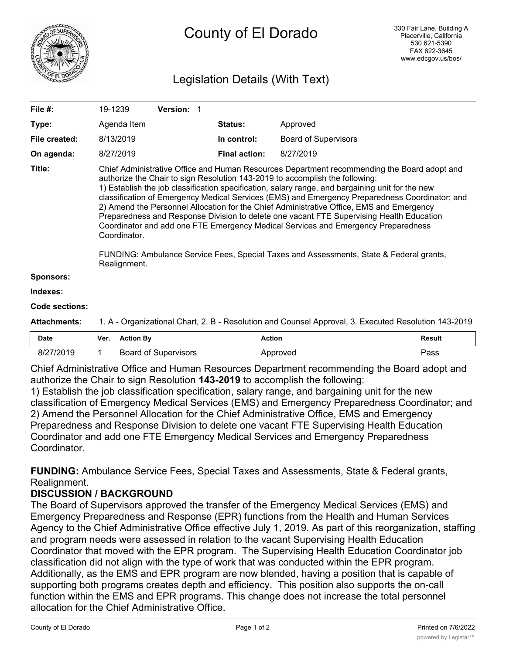

# Legislation Details (With Text)

| <b>Attachments:</b> | 1. A - Organizational Chart, 2. B - Resolution and Counsel Approval, 3. Executed Resolution 143-2019                                                                                                                                                                                                                                                                                                                                                                                                                                                                                                                                                                           |            |                      |                             |  |
|---------------------|--------------------------------------------------------------------------------------------------------------------------------------------------------------------------------------------------------------------------------------------------------------------------------------------------------------------------------------------------------------------------------------------------------------------------------------------------------------------------------------------------------------------------------------------------------------------------------------------------------------------------------------------------------------------------------|------------|----------------------|-----------------------------|--|
| Code sections:      |                                                                                                                                                                                                                                                                                                                                                                                                                                                                                                                                                                                                                                                                                |            |                      |                             |  |
| Indexes:            |                                                                                                                                                                                                                                                                                                                                                                                                                                                                                                                                                                                                                                                                                |            |                      |                             |  |
| <b>Sponsors:</b>    |                                                                                                                                                                                                                                                                                                                                                                                                                                                                                                                                                                                                                                                                                |            |                      |                             |  |
|                     | FUNDING: Ambulance Service Fees, Special Taxes and Assessments, State & Federal grants,<br>Realignment.                                                                                                                                                                                                                                                                                                                                                                                                                                                                                                                                                                        |            |                      |                             |  |
| Title:              | Chief Administrative Office and Human Resources Department recommending the Board adopt and<br>authorize the Chair to sign Resolution 143-2019 to accomplish the following:<br>1) Establish the job classification specification, salary range, and bargaining unit for the new<br>classification of Emergency Medical Services (EMS) and Emergency Preparedness Coordinator; and<br>2) Amend the Personnel Allocation for the Chief Administrative Office, EMS and Emergency<br>Preparedness and Response Division to delete one vacant FTE Supervising Health Education<br>Coordinator and add one FTE Emergency Medical Services and Emergency Preparedness<br>Coordinator. |            |                      |                             |  |
| On agenda:          | 8/27/2019                                                                                                                                                                                                                                                                                                                                                                                                                                                                                                                                                                                                                                                                      |            | <b>Final action:</b> | 8/27/2019                   |  |
| File created:       | 8/13/2019                                                                                                                                                                                                                                                                                                                                                                                                                                                                                                                                                                                                                                                                      |            | In control:          | <b>Board of Supervisors</b> |  |
| Type:               | Agenda Item                                                                                                                                                                                                                                                                                                                                                                                                                                                                                                                                                                                                                                                                    |            | Status:              | Approved                    |  |
| File #:             | 19-1239                                                                                                                                                                                                                                                                                                                                                                                                                                                                                                                                                                                                                                                                        | Version: 1 |                      |                             |  |

Chief Administrative Office and Human Resources Department recommending the Board adopt and authorize the Chair to sign Resolution **143-2019** to accomplish the following:

1) Establish the job classification specification, salary range, and bargaining unit for the new classification of Emergency Medical Services (EMS) and Emergency Preparedness Coordinator; and 2) Amend the Personnel Allocation for the Chief Administrative Office, EMS and Emergency Preparedness and Response Division to delete one vacant FTE Supervising Health Education Coordinator and add one FTE Emergency Medical Services and Emergency Preparedness **Coordinator** 

**FUNDING:** Ambulance Service Fees, Special Taxes and Assessments, State & Federal grants, Realignment.

# **DISCUSSION / BACKGROUND**

The Board of Supervisors approved the transfer of the Emergency Medical Services (EMS) and Emergency Preparedness and Response (EPR) functions from the Health and Human Services Agency to the Chief Administrative Office effective July 1, 2019. As part of this reorganization, staffing and program needs were assessed in relation to the vacant Supervising Health Education Coordinator that moved with the EPR program. The Supervising Health Education Coordinator job classification did not align with the type of work that was conducted within the EPR program. Additionally, as the EMS and EPR program are now blended, having a position that is capable of supporting both programs creates depth and efficiency. This position also supports the on-call function within the EMS and EPR programs. This change does not increase the total personnel allocation for the Chief Administrative Office.